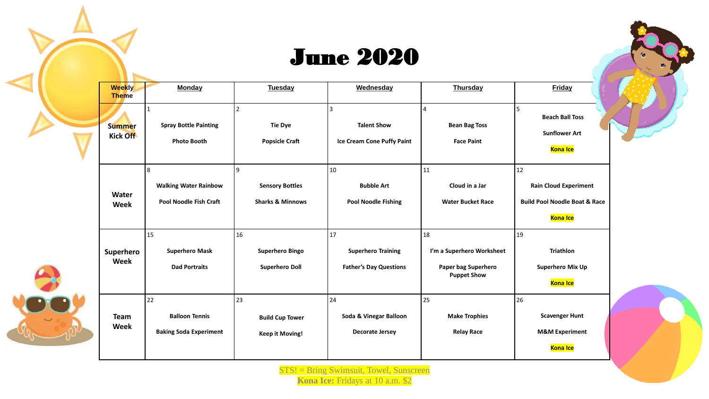

| <b>Weekly</b><br><b>Theme</b>    | <b>Monday</b>                                                      | <b>Tuesday</b>                                             | Wednesday                                                        | <b>Thursday</b>                                                              | Friday                                                                                            |
|----------------------------------|--------------------------------------------------------------------|------------------------------------------------------------|------------------------------------------------------------------|------------------------------------------------------------------------------|---------------------------------------------------------------------------------------------------|
| <b>Summer</b><br><b>Kick Off</b> | $\mathbf{1}$<br><b>Spray Bottle Painting</b><br><b>Photo Booth</b> | $\overline{2}$<br><b>Tie Dye</b><br><b>Popsicle Craft</b>  | 3<br><b>Talent Show</b><br><b>Ice Cream Cone Puffy Paint</b>     | $\overline{4}$<br><b>Bean Bag Toss</b><br><b>Face Paint</b>                  | 5<br><b>Beach Ball Toss</b><br><b>Sunflower Art</b><br><b>Kona Ice</b>                            |
| Water<br>Week                    | 8<br><b>Walking Water Rainbow</b><br><b>Pool Noodle Fish Craft</b> | 9<br><b>Sensory Bottles</b><br><b>Sharks &amp; Minnows</b> | 10<br><b>Bubble Art</b><br><b>Pool Noodle Fishing</b>            | 11<br>Cloud in a Jar<br><b>Water Bucket Race</b>                             | 12<br><b>Rain Cloud Experiment</b><br><b>Build Pool Noodle Boat &amp; Race</b><br><b>Kona Ice</b> |
| Superhero<br><b>Week</b>         | 15<br><b>Superhero Mask</b><br><b>Dad Portraits</b>                | 16<br><b>Superhero Bingo</b><br><b>Superhero Doll</b>      | 17<br><b>Superhero Training</b><br><b>Father's Day Questions</b> | 18<br>I'm a Superhero Worksheet<br>Paper bag Superhero<br><b>Puppet Show</b> | 19<br><b>Triathlon</b><br><b>Superhero Mix Up</b><br><b>Kona Ice</b>                              |
| <b>Team</b><br>Week              | 22<br><b>Balloon Tennis</b><br><b>Baking Soda Experiment</b>       | 23<br><b>Build Cup Tower</b><br><b>Keep it Moving!</b>     | 24<br>Soda & Vinegar Balloon<br><b>Decorate Jersey</b>           | 25<br><b>Make Trophies</b><br><b>Relay Race</b>                              | 26<br><b>Scavenger Hunt</b><br><b>M&amp;M Experiment</b><br><b>Kona Ice</b>                       |



**Kona Ice:** Fridays at 10 a.m. \$2

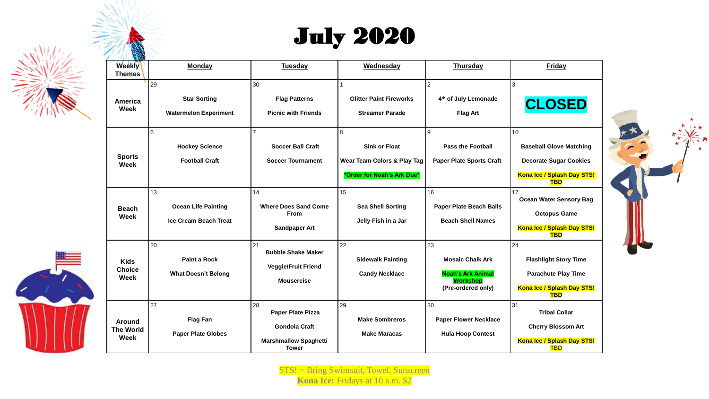### July 2020

| <b>Weekly</b><br><b>Themes</b>       |    | <b>Monday</b>                                              | <b>Tuesday</b>                                                                                  | Wednesday                                                                              | <b>Thursday</b>                                                                                    | <b>Friday</b>                                                                                                     |
|--------------------------------------|----|------------------------------------------------------------|-------------------------------------------------------------------------------------------------|----------------------------------------------------------------------------------------|----------------------------------------------------------------------------------------------------|-------------------------------------------------------------------------------------------------------------------|
| America<br>Week                      | 29 | <b>Star Sorting</b><br><b>Watermelon Experiment</b>        | 30<br><b>Flag Patterns</b><br><b>Picnic with Friends</b>                                        | <b>Glitter Paint Fireworks</b><br><b>Streamer Parade</b>                               | $\overline{2}$<br>4th of July Lemonade<br><b>Flag Art</b>                                          | 3<br><b>CLOSED</b>                                                                                                |
| <b>Sports</b><br>Week                | 6  | <b>Hockey Science</b><br><b>Football Craft</b>             | 7<br><b>Soccer Ball Craft</b><br><b>Soccer Tournament</b>                                       | 8<br><b>Sink or Float</b><br>Wear Team Colors & Play Tag<br>*Order for Noah's Ark Due* | 9<br><b>Pass the Football</b><br><b>Paper Plate Sports Craft</b>                                   | 10<br><b>Baseball Glove Matching</b><br><b>Decorate Sugar Cookies</b><br>Kona Ice / Splash Day STS!<br><b>TBD</b> |
| <b>Beach</b><br>Week                 | 13 | <b>Ocean Life Painting</b><br><b>Ice Cream Beach Treat</b> | 14<br><b>Where Does Sand Come</b><br>From<br><b>Sandpaper Art</b>                               | 15<br><b>Sea Shell Sorting</b><br>Jelly Fish in a Jar                                  | 16<br><b>Paper Plate Beach Balls</b><br><b>Beach Shell Names</b>                                   | 17<br><b>Ocean Water Sensory Bag</b><br><b>Octopus Game</b><br>Kona Ice / Splash Day STS!<br>TBD                  |
| <b>Kids</b><br><b>Choice</b><br>Week | 20 | Paint a Rock<br><b>What Doesn't Belong</b>                 | 21<br><b>Bubble Shake Maker</b><br><b>Veggie/Fruit Friend</b><br><b>Mousercise</b>              | 22<br><b>Sidewalk Painting</b><br><b>Candy Necklace</b>                                | 23<br><b>Mosaic Chalk Ark</b><br><b>Noah's Ark Animal</b><br><b>Workshop</b><br>(Pre-ordered only) | 24<br><b>Flashlight Story Time</b><br><b>Parachute Play Time</b><br><b>Kona Ice / Splash Day STS!</b><br>TBD      |
| Around<br><b>The World</b><br>Week   | 27 | <b>Flag Fan</b><br><b>Paper Plate Globes</b>               | 28<br>Paper Plate Pizza<br><b>Gondola Craft</b><br><b>Marshmallow Spaghetti</b><br><b>Tower</b> | 29<br><b>Make Sombreros</b><br><b>Make Maracas</b>                                     | 30<br><b>Paper Flower Necklace</b><br><b>Hula Hoop Contest</b>                                     | 31<br><b>Tribal Collar</b><br><b>Cherry Blossom Art</b><br>Kona Ice / Splash Day STS!<br><b>TBD</b>               |



STS! = Bring Swimsuit, Towel, Sunscreen **Kona Ice:** Fridays at 10 a.m. \$2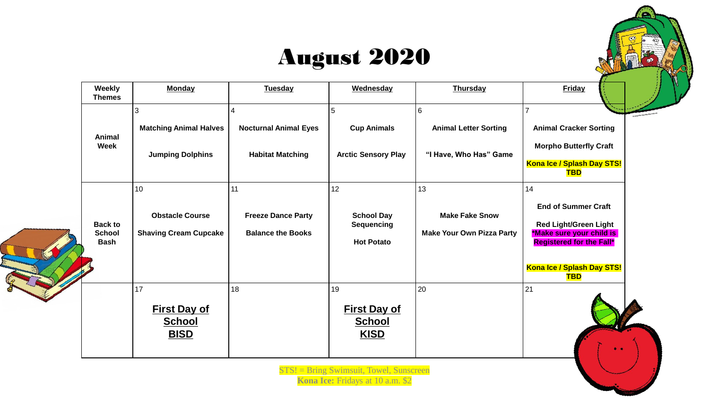### August 2020

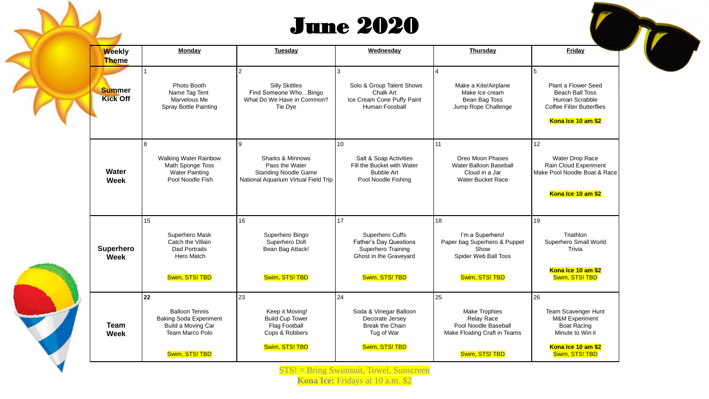#### June 2020

| <b>Weekly</b><br><b>Theme</b>    | Monday                                                                                                                    | <b>Tuesday</b>                                                                                                 | Wednesday                                                                                                         | <b>Thursday</b>                                                                                                           | Friday                                                                                                                                   |
|----------------------------------|---------------------------------------------------------------------------------------------------------------------------|----------------------------------------------------------------------------------------------------------------|-------------------------------------------------------------------------------------------------------------------|---------------------------------------------------------------------------------------------------------------------------|------------------------------------------------------------------------------------------------------------------------------------------|
| <b>Summer</b><br><b>Kick Off</b> | Photo Booth<br>Name Tag Tent<br>Marvelous Me<br>Spray Bottle Painting                                                     | $\overline{2}$<br><b>Silly Skittles</b><br>Find Someone WhoBingo<br>What Do We Have in Common?<br>Tie Dve      | 3<br>Solo & Group Talent Shows<br>Chalk Art<br>Ice Cream Cone Puffy Paint<br>Human Foosball                       | $\Delta$<br>Make a Kite/Airplane<br>Make Ice cream<br>Bean Bag Toss<br>Jump Rope Challenge                                | 5<br>Plant a Flower Seed<br><b>Beach Ball Toss</b><br>Human Scrabble<br><b>Coffee Filter Butterflies</b><br>Kona Ice 10 am \$2           |
| Water<br><b>Week</b>             | ۱g<br><b>Walking Water Rainbow</b><br>Math Sponge Toss<br><b>Water Painting</b><br>Pool Noodle Fish                       | 9<br>Sharks & Minnows<br>Pass the Water<br><b>Standing Noodle Game</b><br>National Aquarium Virtual Field Trip | 10<br>Salt & Soap Activities<br>Fill the Bucket with Water<br><b>Bubble Art</b><br>Pool Noodle Fishing            | 11<br>Oreo Moon Phases<br>Water Balloon Baseball<br>Cloud in a Jar<br>Water Bucket Race                                   | 12 <sup>2</sup><br>Water Drop Race<br>Rain Cloud Experiment<br>Make Pool Noodle Boat & Race<br>Kona Ice 10 am \$2                        |
| <b>Superhero</b><br><b>Week</b>  | 15<br>Superhero Mask<br>Catch the Villain<br><b>Dad Portraits</b><br>Hero Match<br>Swim, STS! TBD                         | 16<br>Superhero Bingo<br>Superhero Doll<br>Bean Bag Attack!<br>Swim, STS! TBD                                  | 17<br>Superhero Cuffs<br>Father's Day Questions<br>Superhero Training<br>Ghost in the Graveyard<br>Swim, STS! TBD | 18<br>I'm a Superhero!<br>Paper bag Superhero & Puppet<br>Show<br>Spider Web Ball Toss<br>Swim, STS! TBD                  | 19<br>Triathlon<br>Superhero Small World<br>Trivia<br>Kona Ice 10 am \$2<br>Swim, STS! TBD                                               |
| <b>Team</b><br><b>Week</b>       | l 22<br><b>Balloon Tennis</b><br><b>Baking Soda Experiment</b><br>Build a Moving Car<br>Team Marco Polo<br>Swim, STS! TBD | 23<br>Keep it Moving!<br><b>Build Cup Tower</b><br>Flag Football<br>Cops & Robbers<br>Swim, STS! TBD           | 24<br>Soda & Vinegar Balloon<br>Decorate Jersev<br><b>Break the Chain</b><br>Tug of War<br>Swim, STS! TBD         | 25<br><b>Make Trophies</b><br><b>Relay Race</b><br>Pool Noodle Baseball<br>Make Floating Craft in Teams<br>Swim, STS! TBD | 26<br>Team Scavenger Hunt<br><b>M&amp;M Experiment</b><br><b>Boat Racing</b><br>Minute to Win it<br>Kona Ice 10 am \$2<br>Swim, STS! TBD |

STS! = Bring Swimsuit, Towel, Sunscreen

**Kona Ice:** Fridays at 10 a.m. \$2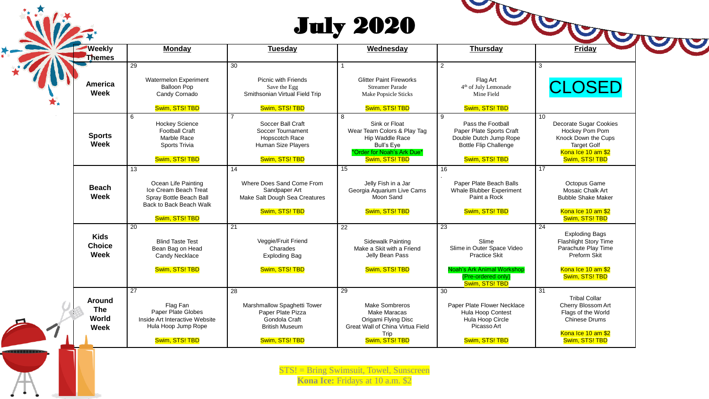## July 2020

| <b>Weekly</b><br><b>Themes</b> | Monday                                                                                             | <b>Tuesday</b>                                                                             | Wednesday                                                                                                        | <b>Thursday</b>                                                                                              | Friday                                                                                                                   |
|--------------------------------|----------------------------------------------------------------------------------------------------|--------------------------------------------------------------------------------------------|------------------------------------------------------------------------------------------------------------------|--------------------------------------------------------------------------------------------------------------|--------------------------------------------------------------------------------------------------------------------------|
|                                | 29                                                                                                 | 30                                                                                         | $\mathbf{1}$                                                                                                     | $\overline{2}$                                                                                               | 3                                                                                                                        |
| <b>America</b><br>Week         | Watermelon Experiment<br><b>Balloon Pop</b><br>Candy Cornado                                       | <b>Picnic with Friends</b><br>Save the Egg<br>Smithsonian Virtual Field Trip               | <b>Glitter Paint Fireworks</b><br><b>Streamer Parade</b><br>Make Popsicle Sticks                                 | Flag Art<br>4 <sup>th</sup> of July Lemonade<br>Mine Field                                                   | <b>CLOSED</b>                                                                                                            |
|                                | Swim, STS! TBD                                                                                     | Swim, STS! TBD                                                                             | Swim, STS! TBD                                                                                                   | Swim, STS! TBD                                                                                               |                                                                                                                          |
| <b>Sports</b><br>Week          | 6<br><b>Hockey Science</b><br><b>Football Craft</b><br>Marble Race<br>Sports Trivia                | 7<br>Soccer Ball Craft<br>Soccer Tournament<br>Hopscotch Race<br>Human Size Players        | 8<br>Sink or Float<br>Wear Team Colors & Play Tag<br>Hip Waddle Race<br>Bull's Eye<br>*Order for Noah's Ark Due* | 9<br>Pass the Football<br>Paper Plate Sports Craft<br>Double Dutch Jump Rope<br><b>Bottle Flip Challenge</b> | 10<br><b>Decorate Sugar Cookies</b><br>Hockey Pom Pom<br>Knock Down the Cups<br><b>Target Golf</b><br>Kona Ice 10 am \$2 |
|                                | Swim, STS! TBD<br>13                                                                               | Swim, STS! TBD<br>14                                                                       | Swim, STS! TBD<br>15                                                                                             | Swim, STS! TBD<br>16                                                                                         | Swim, STS! TBD<br>17                                                                                                     |
| <b>Beach</b><br><b>Week</b>    | Ocean Life Painting<br>Ice Cream Beach Treat<br>Spray Bottle Beach Ball<br>Back to Back Beach Walk | Where Does Sand Come From<br>Sandpaper Art<br>Make Salt Dough Sea Creatures                | Jelly Fish in a Jar<br>Georgia Aquarium Live Cams<br>Moon Sand                                                   | Paper Plate Beach Balls<br>Whale Blubber Experiment<br>Paint a Rock                                          | Octopus Game<br>Mosaic Chalk Art<br><b>Bubble Shake Maker</b>                                                            |
|                                | Swim, STS! TBD                                                                                     | Swim, STS! TBD                                                                             | Swim, STS! TBD                                                                                                   | Swim, STS! TBD                                                                                               | Kona Ice 10 am \$2<br>Swim, STS! TBD                                                                                     |
| <b>Kids</b><br>Choice<br>Week  | 20<br><b>Blind Taste Test</b><br>Bean Bag on Head<br>Candy Necklace<br>Swim, STS! TBD              | 21<br>Veggie/Fruit Friend<br>Charades<br><b>Exploding Bag</b><br>Swim, STS! TBD            | $\overline{22}$<br><b>Sidewalk Painting</b><br>Make a Skit with a Friend<br>Jelly Bean Pass<br>Swim, STS! TBD    | 23<br>Slime<br>Slime in Outer Space Video<br><b>Practice Skit</b><br><b>Noah's Ark Animal Workshop</b>       | 24<br><b>Exploding Bags</b><br><b>Flashlight Story Time</b><br>Parachute Play Time<br>Preform Skit<br>Kona Ice 10 am \$2 |
|                                |                                                                                                    |                                                                                            |                                                                                                                  | (Pre-ordered only)<br>Swim, STS! TBD                                                                         | Swim, STS! TBD                                                                                                           |
| <b>Around</b>                  | 27                                                                                                 | 28                                                                                         | 29                                                                                                               | 30                                                                                                           | $\overline{31}$<br><b>Tribal Collar</b>                                                                                  |
| <b>The</b><br><b>World</b>     | Flag Fan<br>Paper Plate Globes<br>Inside Art Interactive Website<br>Hula Hoop Jump Rope            | Marshmallow Spaghetti Tower<br>Paper Plate Pizza<br>Gondola Craft<br><b>British Museum</b> | <b>Make Sombreros</b><br><b>Make Maracas</b><br>Origami Flying Disc<br>Great Wall of China Virtua Field          | Paper Plate Flower Necklace<br><b>Hula Hoop Contest</b><br>Hula Hoop Circle<br>Picasso Art                   | Cherry Blossom Art<br>Flags of the World<br><b>Chinese Drums</b>                                                         |
| Week                           | Swim, STS! TBD                                                                                     | Swim, STS! TBD                                                                             | Trip<br>Swim, STS! TBD                                                                                           | Swim, STS! TBD                                                                                               | Kona Ice 10 am \$2<br>Swim, STS! TBD                                                                                     |

STS! = Bring Swimsuit, Towel, Sunscreen **Kona Ice:** Fridays at 10 a.m. \$2

<u> -----------</u>